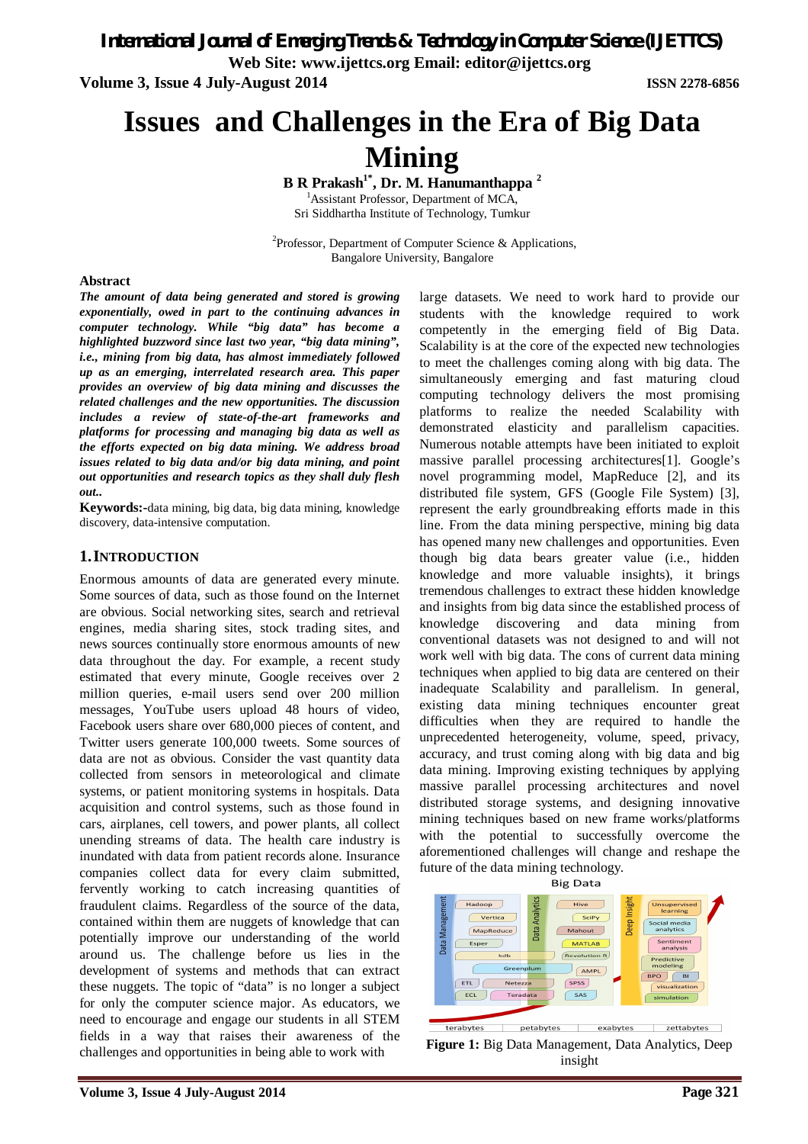*International Journal of Emerging Trends & Technology in Computer Science (IJETTCS)*

**Web Site: www.ijettcs.org Email: editor@ijettcs.org** 

**Volume 3, Issue 4 July-August 2014 ISSN 2278-6856**

# **Issues and Challenges in the Era of Big Data Mining**

**B R Prakash1\* , Dr. M. Hanumanthappa <sup>2</sup>** <sup>1</sup>Assistant Professor, Department of MCA, Sri Siddhartha Institute of Technology, Tumkur

<sup>2</sup>Professor, Department of Computer Science & Applications, Bangalore University, Bangalore

#### **Abstract**

*The amount of data being generated and stored is growing exponentially, owed in part to the continuing advances in computer technology. While "big data" has become a highlighted buzzword since last two year, "big data mining", i.e., mining from big data, has almost immediately followed up as an emerging, interrelated research area. This paper provides an overview of big data mining and discusses the related challenges and the new opportunities. The discussion includes a review of state-of-the-art frameworks and platforms for processing and managing big data as well as the efforts expected on big data mining. We address broad issues related to big data and/or big data mining, and point out opportunities and research topics as they shall duly flesh out..*

**Keywords:-**data mining, big data, big data mining, knowledge discovery, data-intensive computation.

#### **1.INTRODUCTION**

Enormous amounts of data are generated every minute. Some sources of data, such as those found on the Internet are obvious. Social networking sites, search and retrieval engines, media sharing sites, stock trading sites, and news sources continually store enormous amounts of new data throughout the day. For example, a recent study estimated that every minute, Google receives over 2 million queries, e-mail users send over 200 million messages, YouTube users upload 48 hours of video, Facebook users share over 680,000 pieces of content, and Twitter users generate 100,000 tweets. Some sources of data are not as obvious. Consider the vast quantity data collected from sensors in meteorological and climate systems, or patient monitoring systems in hospitals. Data acquisition and control systems, such as those found in cars, airplanes, cell towers, and power plants, all collect unending streams of data. The health care industry is inundated with data from patient records alone. Insurance companies collect data for every claim submitted, fervently working to catch increasing quantities of fraudulent claims. Regardless of the source of the data, contained within them are nuggets of knowledge that can potentially improve our understanding of the world around us. The challenge before us lies in the development of systems and methods that can extract these nuggets. The topic of "data" is no longer a subject for only the computer science major. As educators, we need to encourage and engage our students in all STEM fields in a way that raises their awareness of the challenges and opportunities in being able to work with

large datasets. We need to work hard to provide our students with the knowledge required to work competently in the emerging field of Big Data. Scalability is at the core of the expected new technologies to meet the challenges coming along with big data. The simultaneously emerging and fast maturing cloud computing technology delivers the most promising platforms to realize the needed Scalability with demonstrated elasticity and parallelism capacities. Numerous notable attempts have been initiated to exploit massive parallel processing architectures[1]. Google's novel programming model, MapReduce [2], and its distributed file system, GFS (Google File System) [3], represent the early groundbreaking efforts made in this line. From the data mining perspective, mining big data has opened many new challenges and opportunities. Even though big data bears greater value (i.e., hidden knowledge and more valuable insights), it brings tremendous challenges to extract these hidden knowledge and insights from big data since the established process of knowledge discovering and data mining from conventional datasets was not designed to and will not work well with big data. The cons of current data mining techniques when applied to big data are centered on their inadequate Scalability and parallelism. In general, existing data mining techniques encounter great difficulties when they are required to handle the unprecedented heterogeneity, volume, speed, privacy, accuracy, and trust coming along with big data and big data mining. Improving existing techniques by applying massive parallel processing architectures and novel distributed storage systems, and designing innovative mining techniques based on new frame works/platforms with the potential to successfully overcome the aforementioned challenges will change and reshape the future of the data mining technology.



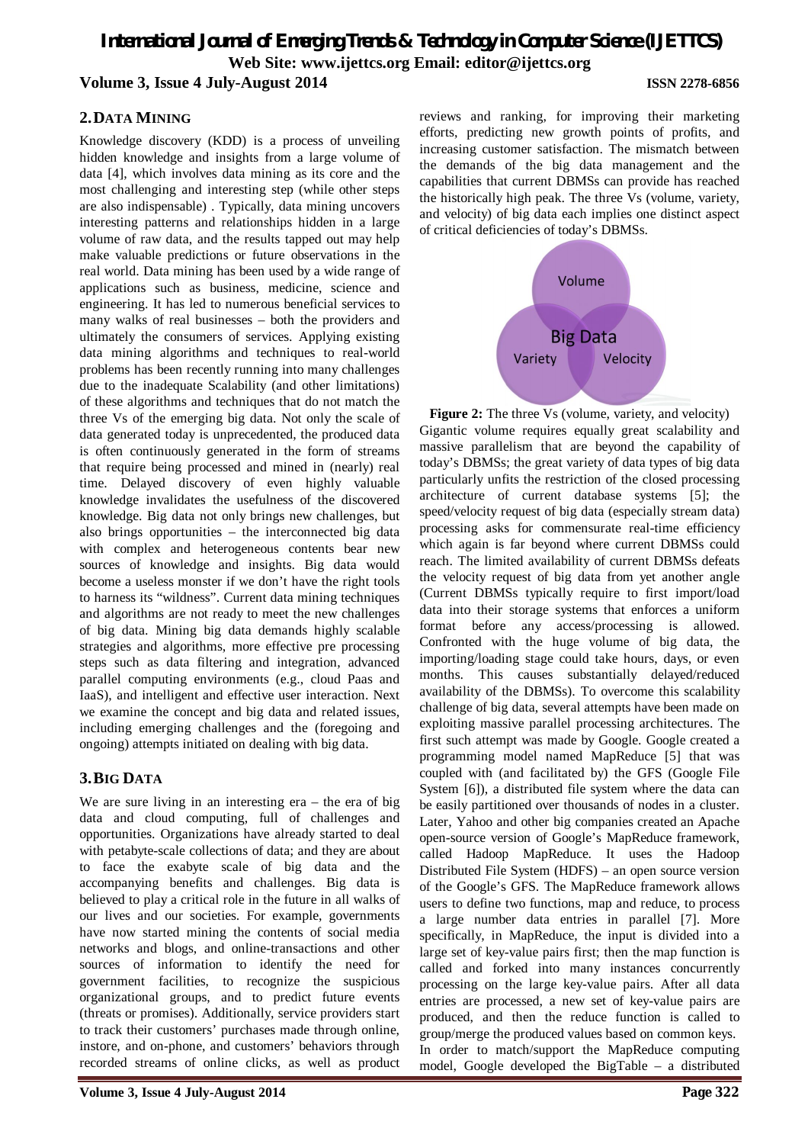# *International Journal of Emerging Trends & Technology in Computer Science (IJETTCS)* **Web Site: www.ijettcs.org Email: editor@ijettcs.org Volume 3, Issue 4 July-August 2014 ISSN 2278-6856**

# **2.DATA MINING**

Knowledge discovery (KDD) is a process of unveiling hidden knowledge and insights from a large volume of data [4], which involves data mining as its core and the most challenging and interesting step (while other steps are also indispensable) . Typically, data mining uncovers interesting patterns and relationships hidden in a large volume of raw data, and the results tapped out may help make valuable predictions or future observations in the real world. Data mining has been used by a wide range of applications such as business, medicine, science and engineering. It has led to numerous beneficial services to many walks of real businesses – both the providers and ultimately the consumers of services. Applying existing data mining algorithms and techniques to real-world problems has been recently running into many challenges due to the inadequate Scalability (and other limitations) of these algorithms and techniques that do not match the three Vs of the emerging big data. Not only the scale of data generated today is unprecedented, the produced data is often continuously generated in the form of streams that require being processed and mined in (nearly) real time. Delayed discovery of even highly valuable knowledge invalidates the usefulness of the discovered knowledge. Big data not only brings new challenges, but also brings opportunities – the interconnected big data with complex and heterogeneous contents bear new sources of knowledge and insights. Big data would become a useless monster if we don't have the right tools to harness its "wildness". Current data mining techniques and algorithms are not ready to meet the new challenges of big data. Mining big data demands highly scalable strategies and algorithms, more effective pre processing steps such as data filtering and integration, advanced parallel computing environments (e.g., cloud Paas and IaaS), and intelligent and effective user interaction. Next we examine the concept and big data and related issues, including emerging challenges and the (foregoing and ongoing) attempts initiated on dealing with big data.

# **3.BIG DATA**

We are sure living in an interesting era – the era of big data and cloud computing, full of challenges and opportunities. Organizations have already started to deal with petabyte-scale collections of data; and they are about to face the exabyte scale of big data and the accompanying benefits and challenges. Big data is believed to play a critical role in the future in all walks of our lives and our societies. For example, governments have now started mining the contents of social media networks and blogs, and online-transactions and other sources of information to identify the need for government facilities, to recognize the suspicious organizational groups, and to predict future events (threats or promises). Additionally, service providers start to track their customers' purchases made through online, instore, and on-phone, and customers' behaviors through recorded streams of online clicks, as well as product

reviews and ranking, for improving their marketing efforts, predicting new growth points of profits, and increasing customer satisfaction. The mismatch between the demands of the big data management and the capabilities that current DBMSs can provide has reached the historically high peak. The three Vs (volume, variety, and velocity) of big data each implies one distinct aspect of critical deficiencies of today's DBMSs.



Figure 2: The three Vs (volume, variety, and velocity) Gigantic volume requires equally great scalability and massive parallelism that are beyond the capability of today's DBMSs; the great variety of data types of big data particularly unfits the restriction of the closed processing architecture of current database systems [5]; the speed/velocity request of big data (especially stream data) processing asks for commensurate real-time efficiency which again is far beyond where current DBMSs could reach. The limited availability of current DBMSs defeats the velocity request of big data from yet another angle (Current DBMSs typically require to first import/load data into their storage systems that enforces a uniform format before any access/processing is allowed. Confronted with the huge volume of big data, the importing/loading stage could take hours, days, or even months. This causes substantially delayed/reduced availability of the DBMSs). To overcome this scalability challenge of big data, several attempts have been made on exploiting massive parallel processing architectures. The first such attempt was made by Google. Google created a programming model named MapReduce [5] that was coupled with (and facilitated by) the GFS (Google File System [6]), a distributed file system where the data can be easily partitioned over thousands of nodes in a cluster. Later, Yahoo and other big companies created an Apache open-source version of Google's MapReduce framework, called Hadoop MapReduce. It uses the Hadoop Distributed File System (HDFS) – an open source version of the Google's GFS. The MapReduce framework allows users to define two functions, map and reduce, to process a large number data entries in parallel [7]. More specifically, in MapReduce, the input is divided into a large set of key-value pairs first; then the map function is called and forked into many instances concurrently processing on the large key-value pairs. After all data entries are processed, a new set of key-value pairs are produced, and then the reduce function is called to group/merge the produced values based on common keys. In order to match/support the MapReduce computing model, Google developed the BigTable – a distributed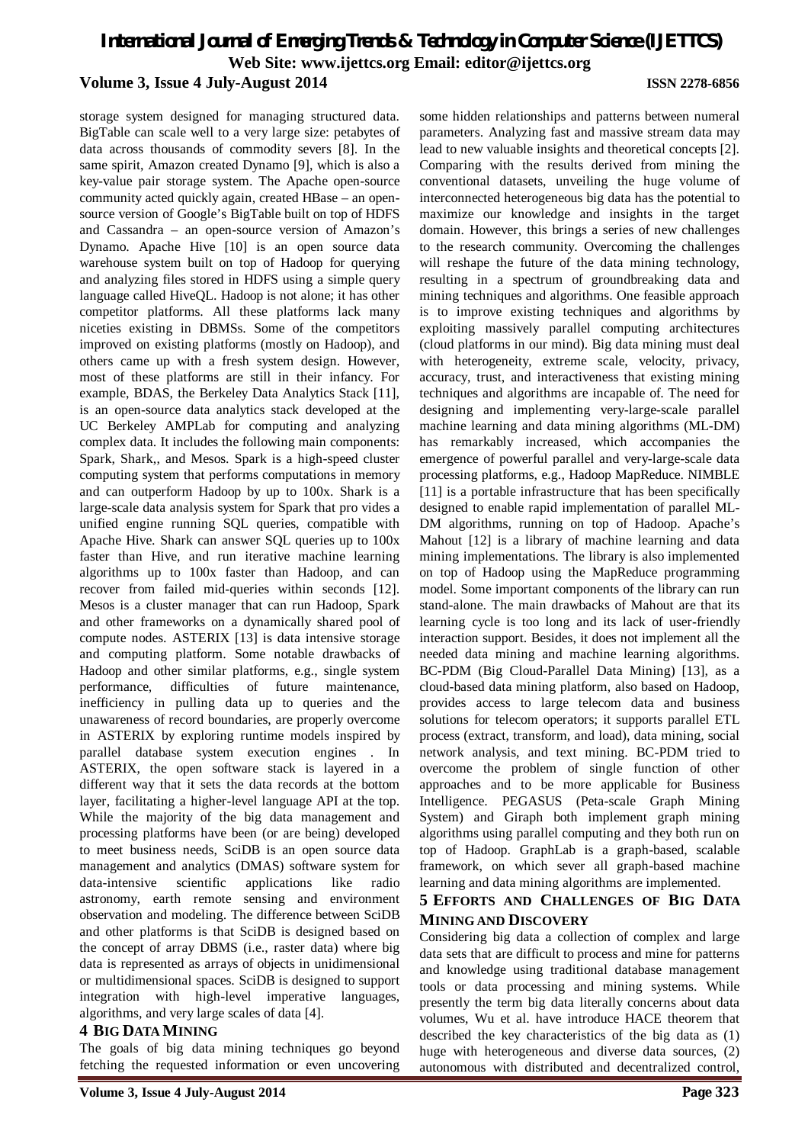# *International Journal of Emerging Trends & Technology in Computer Science (IJETTCS)* **Web Site: www.ijettcs.org Email: editor@ijettcs.org Volume 3, Issue 4 July-August 2014 ISSN 2278-6856**

storage system designed for managing structured data. BigTable can scale well to a very large size: petabytes of data across thousands of commodity severs [8]. In the same spirit, Amazon created Dynamo [9], which is also a key-value pair storage system. The Apache open-source community acted quickly again, created HBase – an opensource version of Google's BigTable built on top of HDFS and Cassandra – an open-source version of Amazon's Dynamo. Apache Hive [10] is an open source data warehouse system built on top of Hadoop for querying and analyzing files stored in HDFS using a simple query language called HiveQL. Hadoop is not alone; it has other competitor platforms. All these platforms lack many niceties existing in DBMSs. Some of the competitors improved on existing platforms (mostly on Hadoop), and others came up with a fresh system design. However, most of these platforms are still in their infancy. For example, BDAS, the Berkeley Data Analytics Stack [11], is an open-source data analytics stack developed at the UC Berkeley AMPLab for computing and analyzing complex data. It includes the following main components: Spark, Shark,, and Mesos. Spark is a high-speed cluster computing system that performs computations in memory and can outperform Hadoop by up to 100x. Shark is a large-scale data analysis system for Spark that pro vides a unified engine running SQL queries, compatible with Apache Hive. Shark can answer SQL queries up to 100x faster than Hive, and run iterative machine learning algorithms up to 100x faster than Hadoop, and can recover from failed mid-queries within seconds [12]. Mesos is a cluster manager that can run Hadoop, Spark and other frameworks on a dynamically shared pool of compute nodes. ASTERIX [13] is data intensive storage and computing platform. Some notable drawbacks of Hadoop and other similar platforms, e.g., single system performance, difficulties of future maintenance, inefficiency in pulling data up to queries and the unawareness of record boundaries, are properly overcome in ASTERIX by exploring runtime models inspired by parallel database system execution engines . In ASTERIX, the open software stack is layered in a different way that it sets the data records at the bottom layer, facilitating a higher-level language API at the top. While the majority of the big data management and processing platforms have been (or are being) developed to meet business needs, SciDB is an open source data management and analytics (DMAS) software system for data-intensive scientific applications like radio astronomy, earth remote sensing and environment observation and modeling. The difference between SciDB and other platforms is that SciDB is designed based on the concept of array DBMS (i.e., raster data) where big data is represented as arrays of objects in unidimensional or multidimensional spaces. SciDB is designed to support integration with high-level imperative languages, algorithms, and very large scales of data [4].

### **4 BIG DATA MINING**

The goals of big data mining techniques go beyond fetching the requested information or even uncovering some hidden relationships and patterns between numeral parameters. Analyzing fast and massive stream data may lead to new valuable insights and theoretical concepts [2]. Comparing with the results derived from mining the conventional datasets, unveiling the huge volume of interconnected heterogeneous big data has the potential to maximize our knowledge and insights in the target domain. However, this brings a series of new challenges to the research community. Overcoming the challenges will reshape the future of the data mining technology, resulting in a spectrum of groundbreaking data and mining techniques and algorithms. One feasible approach is to improve existing techniques and algorithms by exploiting massively parallel computing architectures (cloud platforms in our mind). Big data mining must deal with heterogeneity, extreme scale, velocity, privacy, accuracy, trust, and interactiveness that existing mining techniques and algorithms are incapable of. The need for designing and implementing very-large-scale parallel machine learning and data mining algorithms (ML-DM) has remarkably increased, which accompanies the emergence of powerful parallel and very-large-scale data processing platforms, e.g., Hadoop MapReduce. NIMBLE [11] is a portable infrastructure that has been specifically designed to enable rapid implementation of parallel ML-DM algorithms, running on top of Hadoop. Apache's Mahout [12] is a library of machine learning and data mining implementations. The library is also implemented on top of Hadoop using the MapReduce programming model. Some important components of the library can run stand-alone. The main drawbacks of Mahout are that its learning cycle is too long and its lack of user-friendly interaction support. Besides, it does not implement all the needed data mining and machine learning algorithms. BC-PDM (Big Cloud-Parallel Data Mining) [13], as a cloud-based data mining platform, also based on Hadoop, provides access to large telecom data and business solutions for telecom operators; it supports parallel ETL process (extract, transform, and load), data mining, social network analysis, and text mining. BC-PDM tried to overcome the problem of single function of other approaches and to be more applicable for Business Intelligence. PEGASUS (Peta-scale Graph Mining System) and Giraph both implement graph mining algorithms using parallel computing and they both run on top of Hadoop. GraphLab is a graph-based, scalable framework, on which sever all graph-based machine learning and data mining algorithms are implemented.

### **5 EFFORTS AND CHALLENGES OF BIG DATA MINING AND DISCOVERY**

Considering big data a collection of complex and large data sets that are difficult to process and mine for patterns and knowledge using traditional database management tools or data processing and mining systems. While presently the term big data literally concerns about data volumes, Wu et al. have introduce HACE theorem that described the key characteristics of the big data as (1) huge with heterogeneous and diverse data sources, (2) autonomous with distributed and decentralized control,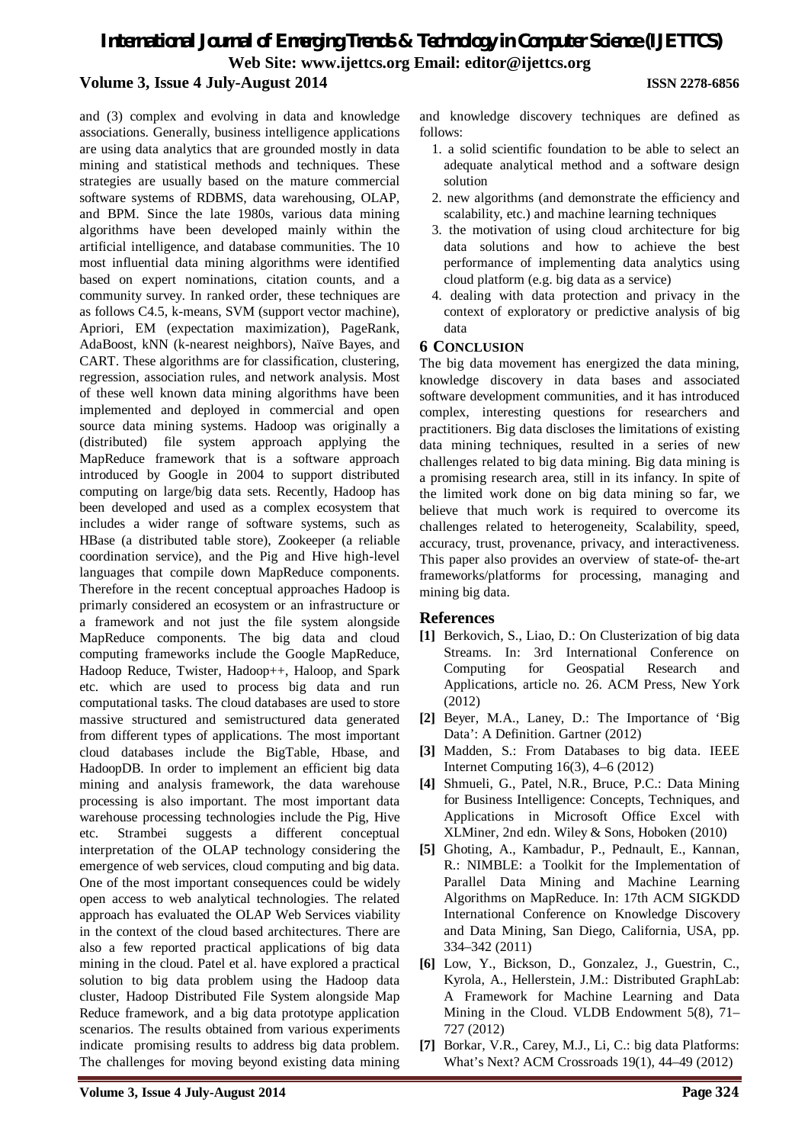# *International Journal of Emerging Trends & Technology in Computer Science (IJETTCS)* **Web Site: www.ijettcs.org Email: editor@ijettcs.org Volume 3, Issue 4 July-August 2014 ISSN 2278-6856**

and (3) complex and evolving in data and knowledge associations. Generally, business intelligence applications are using data analytics that are grounded mostly in data mining and statistical methods and techniques. These strategies are usually based on the mature commercial software systems of RDBMS, data warehousing, OLAP, and BPM. Since the late 1980s, various data mining algorithms have been developed mainly within the artificial intelligence, and database communities. The 10 most influential data mining algorithms were identified based on expert nominations, citation counts, and a community survey. In ranked order, these techniques are as follows C4.5, k-means, SVM (support vector machine), Apriori, EM (expectation maximization), PageRank, AdaBoost, kNN (k-nearest neighbors), Naïve Bayes, and CART. These algorithms are for classification, clustering, regression, association rules, and network analysis. Most of these well known data mining algorithms have been implemented and deployed in commercial and open source data mining systems. Hadoop was originally a (distributed) file system approach applying the MapReduce framework that is a software approach introduced by Google in 2004 to support distributed computing on large/big data sets. Recently, Hadoop has been developed and used as a complex ecosystem that includes a wider range of software systems, such as HBase (a distributed table store), Zookeeper (a reliable coordination service), and the Pig and Hive high-level languages that compile down MapReduce components. Therefore in the recent conceptual approaches Hadoop is primarly considered an ecosystem or an infrastructure or a framework and not just the file system alongside MapReduce components. The big data and cloud computing frameworks include the Google MapReduce, Hadoop Reduce, Twister, Hadoop++, Haloop, and Spark etc. which are used to process big data and run computational tasks. The cloud databases are used to store massive structured and semistructured data generated from different types of applications. The most important cloud databases include the BigTable, Hbase, and HadoopDB. In order to implement an efficient big data mining and analysis framework, the data warehouse processing is also important. The most important data warehouse processing technologies include the Pig, Hive etc. Strambei suggests a different conceptual interpretation of the OLAP technology considering the emergence of web services, cloud computing and big data. One of the most important consequences could be widely open access to web analytical technologies. The related approach has evaluated the OLAP Web Services viability in the context of the cloud based architectures. There are also a few reported practical applications of big data mining in the cloud. Patel et al. have explored a practical solution to big data problem using the Hadoop data cluster, Hadoop Distributed File System alongside Map Reduce framework, and a big data prototype application scenarios. The results obtained from various experiments indicate promising results to address big data problem. The challenges for moving beyond existing data mining

and knowledge discovery techniques are defined as follows:

- 1. a solid scientific foundation to be able to select an adequate analytical method and a software design solution
- 2. new algorithms (and demonstrate the efficiency and scalability, etc.) and machine learning techniques
- 3. the motivation of using cloud architecture for big data solutions and how to achieve the best performance of implementing data analytics using cloud platform (e.g. big data as a service)
- 4. dealing with data protection and privacy in the context of exploratory or predictive analysis of big data

### **6 CONCLUSION**

The big data movement has energized the data mining, knowledge discovery in data bases and associated software development communities, and it has introduced complex, interesting questions for researchers and practitioners. Big data discloses the limitations of existing data mining techniques, resulted in a series of new challenges related to big data mining. Big data mining is a promising research area, still in its infancy. In spite of the limited work done on big data mining so far, we believe that much work is required to overcome its challenges related to heterogeneity, Scalability, speed, accuracy, trust, provenance, privacy, and interactiveness. This paper also provides an overview of state-of- the-art frameworks/platforms for processing, managing and mining big data.

#### **References**

- **[1]** Berkovich, S., Liao, D.: On Clusterization of big data Streams. In: 3rd International Conference on Computing for Geospatial Research and Applications, article no. 26. ACM Press, New York (2012)
- **[2]** Beyer, M.A., Laney, D.: The Importance of 'Big Data': A Definition. Gartner (2012)
- **[3]** Madden, S.: From Databases to big data. IEEE Internet Computing 16(3), 4–6 (2012)
- **[4]** Shmueli, G., Patel, N.R., Bruce, P.C.: Data Mining for Business Intelligence: Concepts, Techniques, and Applications in Microsoft Office Excel with XLMiner, 2nd edn. Wiley & Sons, Hoboken (2010)
- **[5]** Ghoting, A., Kambadur, P., Pednault, E., Kannan, R.: NIMBLE: a Toolkit for the Implementation of Parallel Data Mining and Machine Learning Algorithms on MapReduce. In: 17th ACM SIGKDD International Conference on Knowledge Discovery and Data Mining, San Diego, California, USA, pp. 334–342 (2011)
- **[6]** Low, Y., Bickson, D., Gonzalez, J., Guestrin, C., Kyrola, A., Hellerstein, J.M.: Distributed GraphLab: A Framework for Machine Learning and Data Mining in the Cloud. VLDB Endowment 5(8), 71– 727 (2012)
- **[7]** Borkar, V.R., Carey, M.J., Li, C.: big data Platforms: What's Next? ACM Crossroads 19(1), 44–49 (2012)